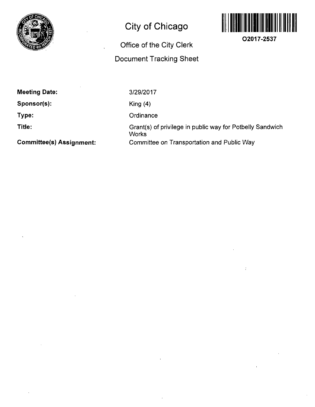

# **City of Chicago**

## **Office of the City Clerk Document Tracking Sheet**



**O2017-2537** 

**Meeting Date:** 

**Sponsor(s):** 

**Type:** 

**Title:** 

3/29/2017

King (4)

**Ordinance** 

Grant(s) of privilege in public way for Potbelly Sandwich **Works** Committee on Transportation and Public Way

**Committee(s) Assignment:**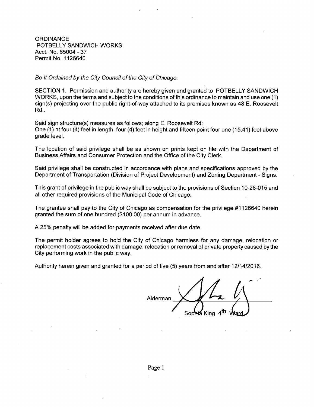**ORDINANCE** POTBELLY SANDWICH WORKS Acct. No. 65004 - 37 Permit No. 1126640

Be It Ordained by the City Council of the City of Chicago:

SECTION 1. Permission and authority are hereby given and granted to POTBELLY SANDWICH WORKS, upon the terms and subject to the conditions of this ordinance to maintain and use one (1) sign(s) projecting over the public right-of-way attached to its premises known as 48 E. Roosevelt Rd..

Said sign structure(s) measures as follows; along E. Roosevelt Rd: One (1) at four (4) feet in length, four (4) feet in height and fifteen point four one (15.41) feet above grade level.

The location of said privilege shall be as shown on prints kept on file with the Department of Business Affairs and Consumer Protection and the Office of the City Clerk.

Said privilege shall be constructed in accordance with plans and specifications approved by the Department of Transportation (Division of Project Development) and Zoning Department - Signs.

This grant of privilege in the public way shall be subject to the provisions of Section 10-28-015 and all other required provisions of the Municipal Code of Chicago.

The grantee shall pay to the City of Chicago as compensation for the privilege #1126640 herein granted the sum of one hundred (\$100.00) per annum in advance.

A 25% penalty will be added for payments received after due date.

The permit holder agrees to hold the City of Chicago harmless for any damage, relocation or replacement costs associated with damage, relocation or removal of private property caused by the City performing work in the public way.

Authority herein given and granted for a period offive (5) years from and after 12/14/2016.

Alderman Sophia King 4<sup>tn</sup>i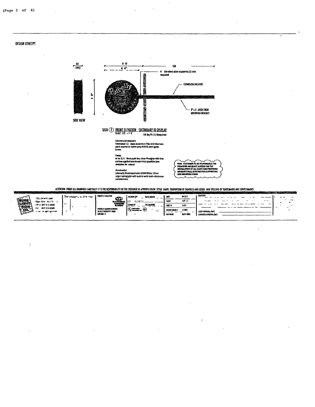#### **DESIGN CONCEPT**

 $\bar{V}$ 



 $\bar{z}$ 

 $\lambda$ 

 $\ddot{\phantom{a}}$ 

ATTENTION PROOF ALL DRAWINGS CAREFULLY! IT IS THE RESPONSIBILITY OF THE CUSTOMER TO APPROVE COLOR STYLE SHAPE PROPORTION OF GRAPHICS AND LOGOS AND SPELLING OF TRADEMARYS AND SERVICEMARYS.

| PROJECT/LOCATION<br>The image you drearve<br>64 ILM<br><b>CAR</b><br><b>ACCUMENT</b><br><b>SANT MILLER</b><br>Œ<br>122. br = 11 pad                                                                                                                                | $-0.000305$<br>$\overline{\phantom{a}}$                    |
|--------------------------------------------------------------------------------------------------------------------------------------------------------------------------------------------------------------------------------------------------------------------|------------------------------------------------------------|
| <b>VEURE</b><br>$17 - 1$<br><b>MAL</b><br>4.74<br>11.1 Mar 13<br>Ethi Dro Ki D<br><b>NATIONAL</b><br>∤⊔онт<br><b>AWARDNE</b><br>$\overline{\phantom{a}}$<br><b>ILLAMION</b><br><b>Liters</b><br>CF 0 847 214 9505<br>141<br><b>SHIT!</b>                           | $\sim$<br>$\overline{\phantom{0}}$<br>$- - -$<br>-<br>$-1$ |
| <b>EIGA</b><br>847 214 9506<br><b>G</b><br>tac.<br>œ<br>POTRELLY SAMPHYLLH WORKS<br>∼<br>(1000)<br><b>UES CHORDED</b><br>v.<br>$\sim$ $\sim$ $\sim$ $\sim$<br>$-1$<br>SQ EAST ROOSEVELT ROAD<br>n ver an aghtan com<br><b>CRYAGO IL</b><br>44311 6001<br>FILE KLAS | <b>CLIENT APPROVAL/DATE</b><br>LANDLORD APPROVAL/DATE      |

ć

 $\ddot{\phantom{a}}$